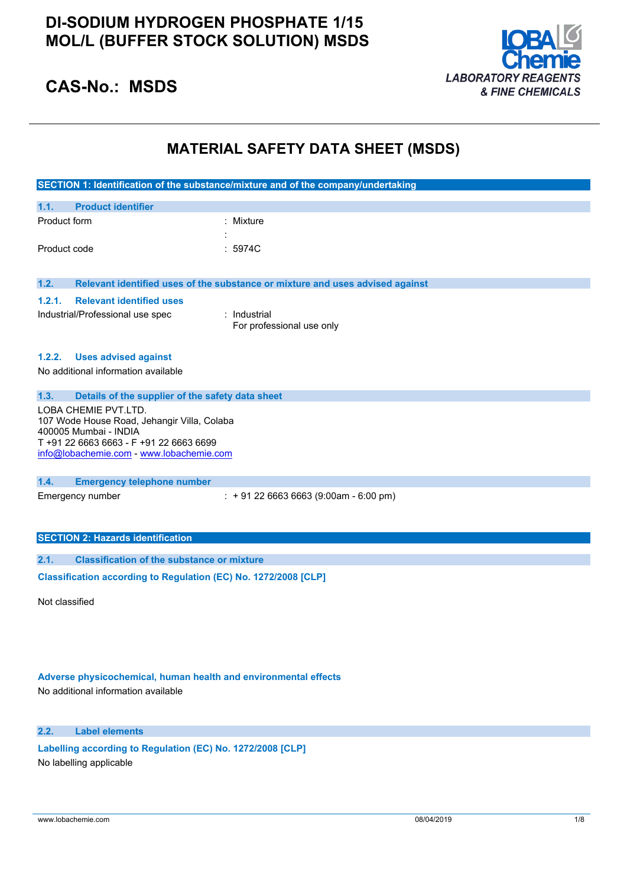### **DI-SODIUM HYDROGEN PHOSPHATE 1/15 MOL/L (BUFFER STOCK SOLUTION) MSDS**



# **CAS-No.: MSDS**

### **MATERIAL SAFETY DATA SHEET (MSDS)**

|                                                                  | SECTION 1: Identification of the substance/mixture and of the company/undertaking |  |  |
|------------------------------------------------------------------|-----------------------------------------------------------------------------------|--|--|
|                                                                  |                                                                                   |  |  |
| <b>Product identifier</b><br>1.1.                                |                                                                                   |  |  |
| Product form                                                     | : Mixture                                                                         |  |  |
|                                                                  |                                                                                   |  |  |
| Product code                                                     | : 5974C                                                                           |  |  |
|                                                                  |                                                                                   |  |  |
| 1.2.                                                             | Relevant identified uses of the substance or mixture and uses advised against     |  |  |
| 1.2.1.<br><b>Relevant identified uses</b>                        |                                                                                   |  |  |
| Industrial/Professional use spec                                 | : Industrial                                                                      |  |  |
|                                                                  | For professional use only                                                         |  |  |
|                                                                  |                                                                                   |  |  |
| <b>Uses advised against</b><br>1.2.2.                            |                                                                                   |  |  |
| No additional information available                              |                                                                                   |  |  |
|                                                                  |                                                                                   |  |  |
| 1.3.<br>Details of the supplier of the safety data sheet         |                                                                                   |  |  |
| LOBA CHEMIE PVT.LTD.                                             |                                                                                   |  |  |
| 107 Wode House Road, Jehangir Villa, Colaba                      |                                                                                   |  |  |
| 400005 Mumbai - INDIA<br>T +91 22 6663 6663 - F +91 22 6663 6699 |                                                                                   |  |  |
| info@lobachemie.com - www.lobachemie.com                         |                                                                                   |  |  |
|                                                                  |                                                                                   |  |  |
| 1.4.<br><b>Emergency telephone number</b>                        |                                                                                   |  |  |
| Emergency number                                                 | $: +912266636663(9:00am - 6:00 pm)$                                               |  |  |
|                                                                  |                                                                                   |  |  |
|                                                                  |                                                                                   |  |  |
| <b>SECTION 2: Hazards identification</b>                         |                                                                                   |  |  |
| 2.1.<br><b>Classification of the substance or mixture</b>        |                                                                                   |  |  |
|                                                                  |                                                                                   |  |  |
| Classification according to Regulation (EC) No. 1272/2008 [CLP]  |                                                                                   |  |  |
|                                                                  |                                                                                   |  |  |

Not classified

### **Adverse physicochemical, human health and environmental effects**

No additional information available

### **2.2. Label elements**

**Labelling according to** Regulation (EC) No. 1272/2008 [CLP] No labelling applicable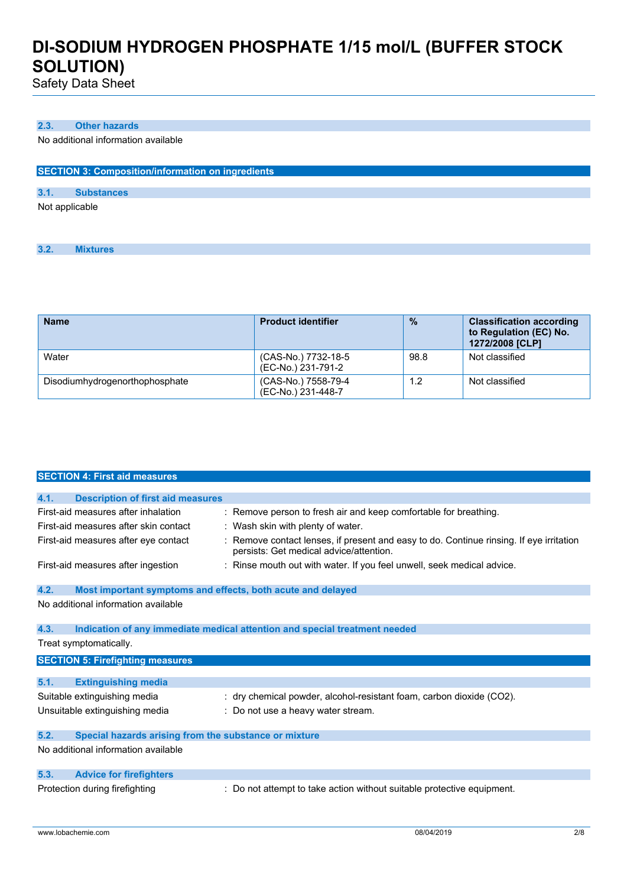Safety Data Sheet

#### **2.3. Other hazards**

No additional information available

| <b>SECTION 3: Composition/information on ingredients</b> |                   |  |  |  |  |
|----------------------------------------------------------|-------------------|--|--|--|--|
|                                                          |                   |  |  |  |  |
| 3.1.                                                     | <b>Substances</b> |  |  |  |  |
| Not applicable                                           |                   |  |  |  |  |

**3.2. Mixtures**

| <b>Name</b>                    | <b>Product identifier</b>                 | $\frac{9}{6}$ | <b>Classification according</b><br>to Regulation (EC) No.<br>1272/2008 [CLP] |
|--------------------------------|-------------------------------------------|---------------|------------------------------------------------------------------------------|
| Water                          | (CAS-No.) 7732-18-5<br>(EC-No.) 231-791-2 | 98.8          | Not classified                                                               |
| Disodiumhydrogenorthophosphate | (CAS-No.) 7558-79-4<br>(EC-No.) 231-448-7 | 1.2           | Not classified                                                               |

|      | <b>SECTION 4: First aid measures</b>                        |                                                                                                                                  |
|------|-------------------------------------------------------------|----------------------------------------------------------------------------------------------------------------------------------|
|      |                                                             |                                                                                                                                  |
| 4.1. | <b>Description of first aid measures</b>                    |                                                                                                                                  |
|      | First-aid measures after inhalation                         | : Remove person to fresh air and keep comfortable for breathing.                                                                 |
|      | First-aid measures after skin contact                       | : Wash skin with plenty of water.                                                                                                |
|      | First-aid measures after eye contact                        | Remove contact lenses, if present and easy to do. Continue rinsing. If eye irritation<br>persists: Get medical advice/attention. |
|      | First-aid measures after ingestion                          | : Rinse mouth out with water. If you feel unwell, seek medical advice.                                                           |
| 4.2. | Most important symptoms and effects, both acute and delayed |                                                                                                                                  |
|      | No additional information available                         |                                                                                                                                  |
| 4.3. |                                                             | Indication of any immediate medical attention and special treatment needed                                                       |
|      | Treat symptomatically.                                      |                                                                                                                                  |
|      | <b>SECTION 5: Firefighting measures</b>                     |                                                                                                                                  |
|      |                                                             |                                                                                                                                  |
| 5.1. | <b>Extinguishing media</b>                                  |                                                                                                                                  |
|      | Suitable extinguishing media                                | : dry chemical powder, alcohol-resistant foam, carbon dioxide (CO2).                                                             |
|      | Unsuitable extinguishing media                              | : Do not use a heavy water stream.                                                                                               |
| 5.2. | Special hazards arising from the substance or mixture       |                                                                                                                                  |
|      | No additional information available                         |                                                                                                                                  |
| 5.3. | <b>Advice for firefighters</b>                              |                                                                                                                                  |
|      | Protection during firefighting                              | : Do not attempt to take action without suitable protective equipment.                                                           |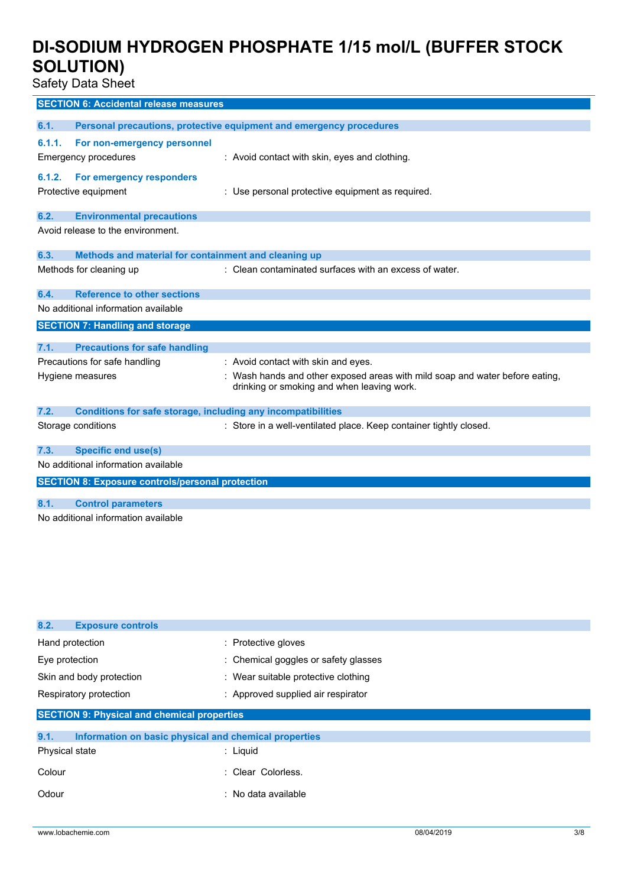Safety Data Sheet

|        | <b>SECTION 6: Accidental release measures</b>                       |                                                                                                                            |
|--------|---------------------------------------------------------------------|----------------------------------------------------------------------------------------------------------------------------|
| 6.1.   |                                                                     | Personal precautions, protective equipment and emergency procedures                                                        |
| 6.1.1. | For non-emergency personnel<br><b>Emergency procedures</b>          | : Avoid contact with skin, eyes and clothing.                                                                              |
| 6.1.2. | For emergency responders<br>Protective equipment                    | : Use personal protective equipment as required.                                                                           |
| 6.2.   | <b>Environmental precautions</b>                                    |                                                                                                                            |
|        | Avoid release to the environment.                                   |                                                                                                                            |
| 6.3.   | Methods and material for containment and cleaning up                |                                                                                                                            |
|        | Methods for cleaning up                                             | : Clean contaminated surfaces with an excess of water.                                                                     |
| 6.4.   | <b>Reference to other sections</b>                                  |                                                                                                                            |
|        | No additional information available                                 |                                                                                                                            |
|        | <b>SECTION 7: Handling and storage</b>                              |                                                                                                                            |
| 7.1.   | <b>Precautions for safe handling</b>                                |                                                                                                                            |
|        | Precautions for safe handling                                       | : Avoid contact with skin and eyes.                                                                                        |
|        | Hygiene measures                                                    | : Wash hands and other exposed areas with mild soap and water before eating,<br>drinking or smoking and when leaving work. |
| 7.2.   | <b>Conditions for safe storage, including any incompatibilities</b> |                                                                                                                            |
|        | Storage conditions                                                  | : Store in a well-ventilated place. Keep container tightly closed.                                                         |
| 7.3.   | <b>Specific end use(s)</b>                                          |                                                                                                                            |
|        | No additional information available                                 |                                                                                                                            |
|        | <b>SECTION 8: Exposure controls/personal protection</b>             |                                                                                                                            |
| 8.1.   | <b>Control parameters</b>                                           |                                                                                                                            |
|        | No additional information available                                 |                                                                                                                            |

| 8.2.<br><b>Exposure controls</b>                              |                                      |  |
|---------------------------------------------------------------|--------------------------------------|--|
| Hand protection                                               | : Protective gloves                  |  |
| Eye protection                                                | : Chemical goggles or safety glasses |  |
| Skin and body protection                                      | : Wear suitable protective clothing  |  |
| Respiratory protection                                        | : Approved supplied air respirator   |  |
| <b>SECTION 9: Physical and chemical properties</b>            |                                      |  |
| 9.1.<br>Information on basic physical and chemical properties |                                      |  |
|                                                               |                                      |  |
| Physical state                                                | : Liquid                             |  |
| Colour                                                        | : Clear Colorless.                   |  |
| Odour                                                         | : No data available                  |  |
|                                                               |                                      |  |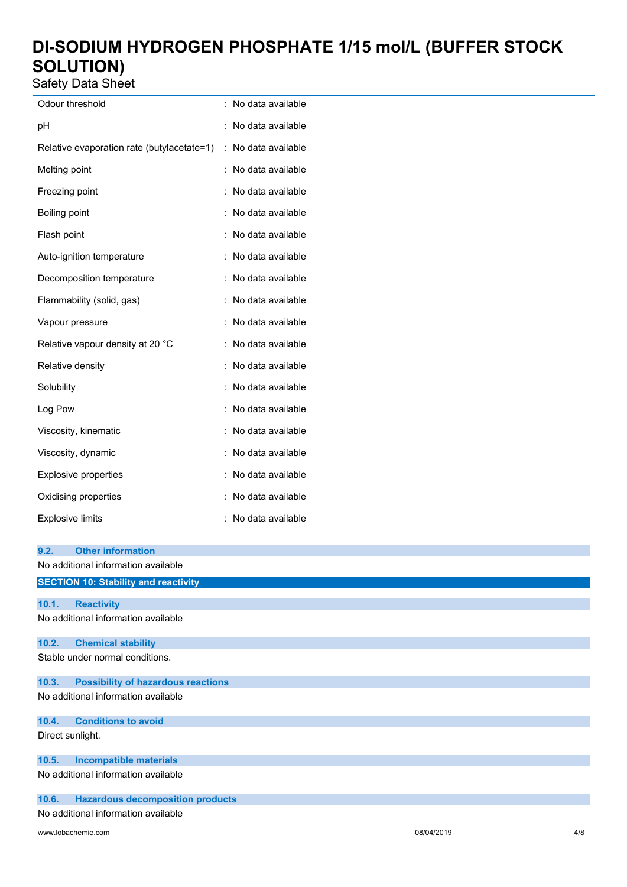Safety Data Sheet

| Odour threshold                            | $\ddot{\phantom{0}}$ | No data available |
|--------------------------------------------|----------------------|-------------------|
| рH                                         |                      | No data available |
| Relative evaporation rate (butylacetate=1) | :                    | No data available |
| Melting point                              |                      | No data available |
| Freezing point                             |                      | No data available |
| Boiling point                              |                      | No data available |
| Flash point                                |                      | No data available |
| Auto-ignition temperature                  |                      | No data available |
| Decomposition temperature                  |                      | No data available |
| Flammability (solid, gas)                  |                      | No data available |
| Vapour pressure                            |                      | No data available |
| Relative vapour density at 20 °C           |                      | No data available |
| Relative density                           |                      | No data available |
| Solubility                                 |                      | No data available |
| Log Pow                                    |                      | No data available |
| Viscosity, kinematic                       |                      | No data available |
| Viscosity, dynamic                         |                      | No data available |
| <b>Explosive properties</b>                |                      | No data available |
| Oxidising properties                       |                      | No data available |
| <b>Explosive limits</b>                    |                      | No data available |

| 9.2.             | <b>Other information</b>                    |
|------------------|---------------------------------------------|
|                  | No additional information available         |
|                  | <b>SECTION 10: Stability and reactivity</b> |
| 10.1.            | <b>Reactivity</b>                           |
|                  | No additional information available         |
| 10.2.            | <b>Chemical stability</b>                   |
|                  | Stable under normal conditions.             |
| 10.3.            | <b>Possibility of hazardous reactions</b>   |
|                  | No additional information available         |
| 10.4.            | <b>Conditions to avoid</b>                  |
| Direct sunlight. |                                             |
| 10.5.            | <b>Incompatible materials</b>               |
|                  | No additional information available         |
| 10.6.            | <b>Hazardous decomposition products</b>     |
|                  | No additional information available         |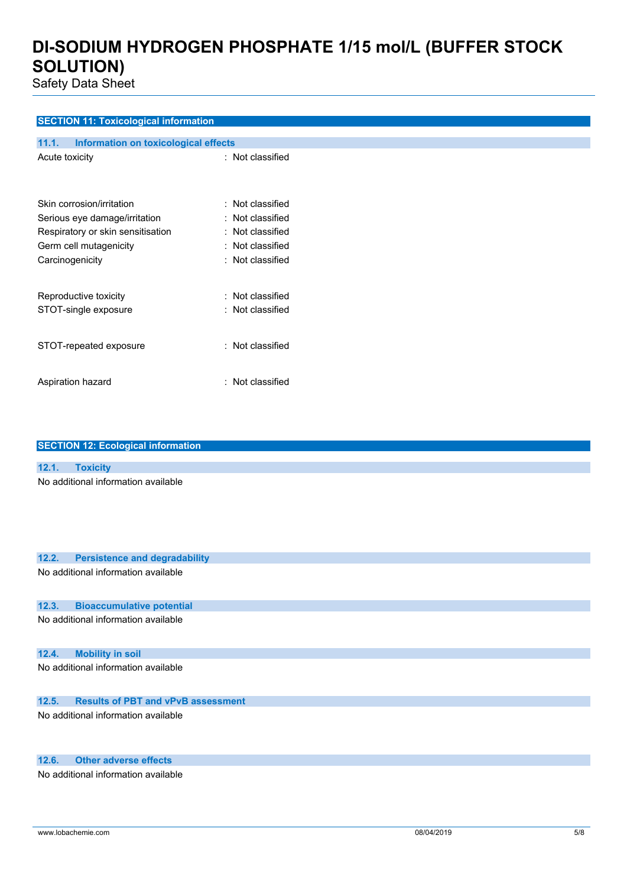Safety Data Sheet

### **SECTION 11: Toxicological information**

| 11.1.<br><b>Information on toxicological effects</b> |                         |
|------------------------------------------------------|-------------------------|
| Acute toxicity                                       | : Not classified        |
| Skin corrosion/irritation                            | : Not classified        |
| Serious eye damage/irritation                        | : Not classified        |
| Respiratory or skin sensitisation                    | $\colon$ Not classified |
| Germ cell mutagenicity                               | $\colon$ Not classified |
| Carcinogenicity                                      | : Not classified        |
| Reproductive toxicity                                | : Not classified        |
| STOT-single exposure                                 | : Not classified        |
| STOT-repeated exposure                               | : Not classified        |
| Aspiration hazard                                    | : Not classified        |

|       | <b>SECTION 12: Ecological information</b> |
|-------|-------------------------------------------|
|       |                                           |
| 12.1. | <b>Toxicity</b>                           |
|       | No additional information available       |
|       |                                           |
|       |                                           |
|       |                                           |
|       |                                           |
|       |                                           |
| 12.2. | <b>Persistence and degradability</b>      |
|       | No additional information available       |
|       |                                           |
| 12.3. | <b>Bioaccumulative potential</b>          |
|       |                                           |
|       | No additional information available       |
|       |                                           |
| 12.4. | <b>Mobility in soil</b>                   |
|       | No additional information available       |
|       |                                           |
|       |                                           |
| 12.5. | <b>Results of PBT and vPvB assessment</b> |
|       | No additional information available       |
|       |                                           |
|       |                                           |
| 12.6. | <b>Other adverse effects</b>              |
|       | No additional information available       |
|       |                                           |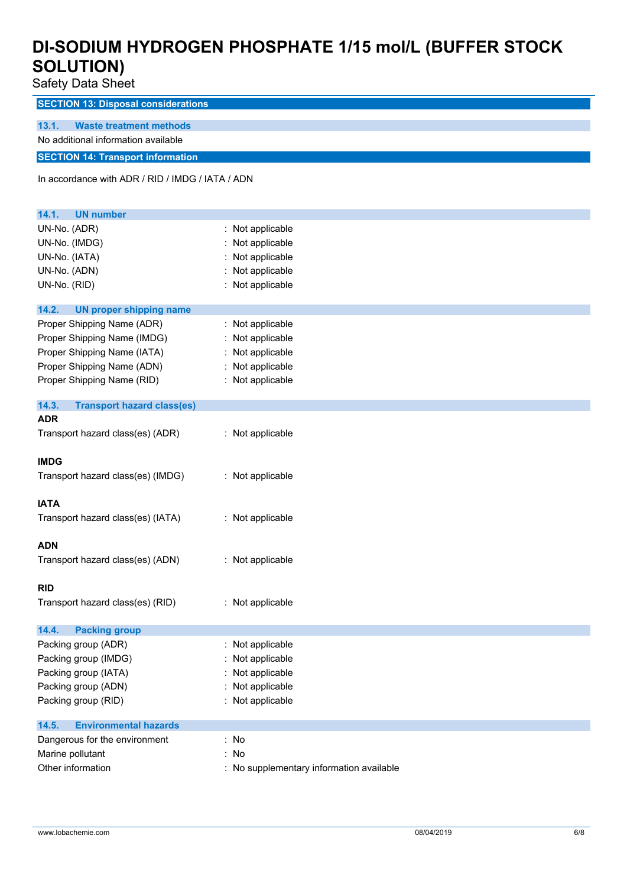Safety Data Sheet

**SECTION 13: Disposal considerations**

#### **13.1. Waste treatment methods**

No additional information available

### **SECTION 14: Transport information**

In accordance with ADR / RID / IMDG / IATA / ADN

| 14.1.<br><b>UN number</b>                  |                                          |
|--------------------------------------------|------------------------------------------|
| UN-No. (ADR)                               | : Not applicable                         |
| UN-No. (IMDG)                              | Not applicable                           |
| UN-No. (IATA)                              | Not applicable                           |
| UN-No. (ADN)                               | Not applicable                           |
| UN-No. (RID)                               | : Not applicable                         |
|                                            |                                          |
| 14.2.<br><b>UN proper shipping name</b>    |                                          |
| Proper Shipping Name (ADR)                 | : Not applicable                         |
| Proper Shipping Name (IMDG)                | : Not applicable                         |
| Proper Shipping Name (IATA)                | Not applicable                           |
| Proper Shipping Name (ADN)                 | : Not applicable                         |
| Proper Shipping Name (RID)                 | : Not applicable                         |
| 14.3.<br><b>Transport hazard class(es)</b> |                                          |
| <b>ADR</b>                                 |                                          |
| Transport hazard class(es) (ADR)           | : Not applicable                         |
|                                            |                                          |
| <b>IMDG</b>                                |                                          |
| Transport hazard class(es) (IMDG)          | : Not applicable                         |
|                                            |                                          |
| <b>IATA</b>                                |                                          |
| Transport hazard class(es) (IATA)          | : Not applicable                         |
|                                            |                                          |
| <b>ADN</b>                                 |                                          |
| Transport hazard class(es) (ADN)           | : Not applicable                         |
|                                            |                                          |
| <b>RID</b>                                 |                                          |
| Transport hazard class(es) (RID)           | : Not applicable                         |
|                                            |                                          |
| 14.4.<br><b>Packing group</b>              |                                          |
| Packing group (ADR)                        | : Not applicable                         |
| Packing group (IMDG)                       | Not applicable                           |
| Packing group (IATA)                       | Not applicable                           |
| Packing group (ADN)                        | Not applicable                           |
| Packing group (RID)                        | Not applicable                           |
| <b>Environmental hazards</b><br>14.5.      |                                          |
| Dangerous for the environment              | : No                                     |
| Marine pollutant                           | No                                       |
| Other information                          | : No supplementary information available |
|                                            |                                          |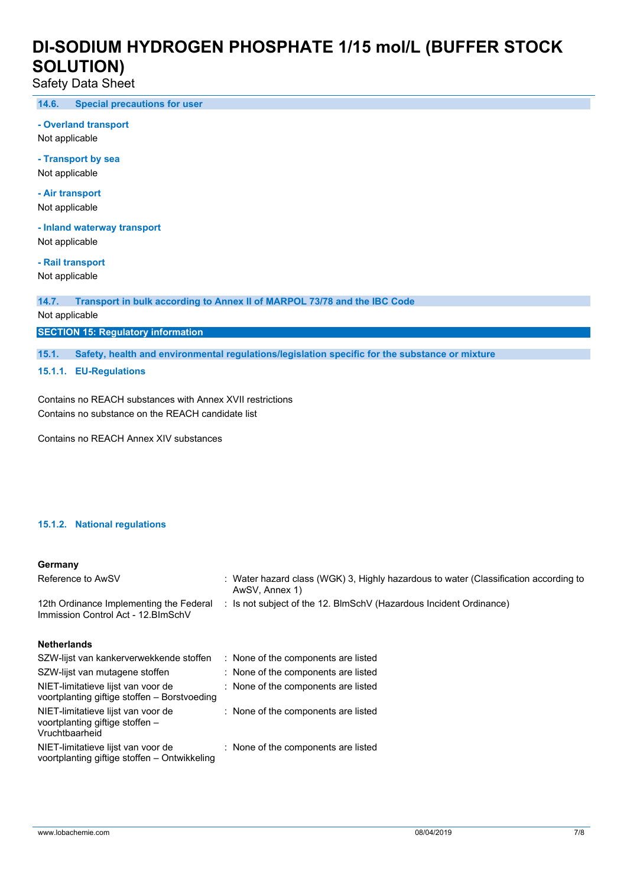Safety Data Sheet

**14.6. Special precautions for user**

**- Overland transport**

Not applicable

**- Transport by sea** Not applicable

**- Air transport**

Not applicable

**- Inland waterway transport** Not applicable

**- Rail transport**

Not applicable

**14.7. Transport in bulk according to Annex II of MARPOL 73/78 and the IBC Code**

Not applicable

**SECTION 15: Regulatory information**

**15.1. Safety, health and environmental regulations/legislation specific for the substance or mixture**

**15.1.1. EU-Regulations**

Contains no REACH substances with Annex XVII restrictions Contains no substance on the REACH candidate list

Contains no REACH Annex XIV substances

### **15.1.2. National regulations**

#### **Germany**

| Reference to AwSV                                                                       | : Water hazard class (WGK) 3, Highly hazardous to water (Classification according to<br>AwSV, Annex 1) |
|-----------------------------------------------------------------------------------------|--------------------------------------------------------------------------------------------------------|
| 12th Ordinance Implementing the Federal<br>Immission Control Act - 12. BlmSchV          | : Is not subject of the 12. BlmSchV (Hazardous Incident Ordinance)                                     |
| <b>Netherlands</b>                                                                      |                                                                                                        |
| SZW-lijst van kankerverwekkende stoffen                                                 | : None of the components are listed                                                                    |
| SZW-lijst van mutagene stoffen                                                          | : None of the components are listed                                                                    |
| NIET-limitatieve lijst van voor de<br>voortplanting giftige stoffen – Borstvoeding      | : None of the components are listed                                                                    |
| NIET-limitatieve lijst van voor de<br>voortplanting giftige stoffen -<br>Vruchtbaarheid | : None of the components are listed                                                                    |
| NIET-limitatieve lijst van voor de<br>voortplanting giftige stoffen – Ontwikkeling      | : None of the components are listed                                                                    |